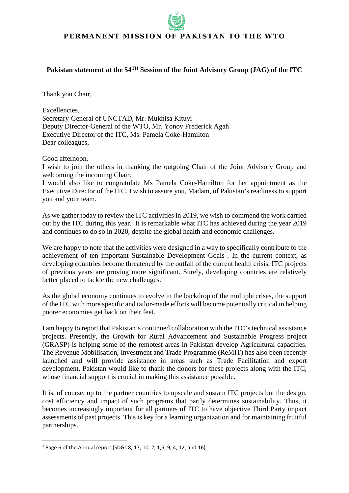## **PERMANENT MISSION OF PAKISTAN TO THE WTO**

## **Pakistan statement at the 54TH Session of the Joint Advisory Group (JAG) of the ITC**

Thank you Chair,

Excellencies, Secretary-General of UNCTAD, Mr. Mukhisa Kituyi Deputy Director-General of the WTO, Mr. Yonov Frederick Agah Executive Director of the ITC, Ms. Pamela Coke-Hamilton Dear colleagues,

Good afternoon,

I wish to join the others in thanking the outgoing Chair of the Joint Advisory Group and welcoming the incoming Chair.

I would also like to congratulate Ms Pamela Coke-Hamilton for her appointment as the Executive Director of the ITC. I wish to assure you, Madam, of Pakistan's readiness to support you and your team.

As we gather today to review the ITC activities in 2019, we wish to commend the work carried out by the ITC during this year. It is remarkable what ITC has achieved during the year 2019 and continues to do so in 2020, despite the global health and economic challenges.

We are happy to note that the activities were designed in a way to specifically contribute to the achievement of ten important Sustainable Development Goals<sup>[1](#page-0-0)</sup>. In the current context, as developing countries become threatened by the outfall of the current health crisis, ITC projects of previous years are proving more significant. Surely, developing countries are relatively better placed to tackle the new challenges.

As the global economy continues to evolve in the backdrop of the multiple crises, the support of the ITC with more specific and tailor-made efforts will become potentially critical in helping poorer economies get back on their feet.

I am happy to report that Pakistan's continued collaboration with the ITC's technical assistance projects. Presently, the Growth for Rural Advancement and Sustainable Progress project (GRASP) is helping some of the remotest areas in Pakistan develop Agricultural capacities. The Revenue Mobilisation, Investment and Trade Programme (ReMIT) has also been recently launched and will provide assistance in areas such as Trade Facilitation and export development. Pakistan would like to thank the donors for these projects along with the ITC, whose financial support is crucial in making this assistance possible.

It is, of course, up to the partner countries to upscale and sustain ITC projects but the design, cost efficiency and impact of such programs that partly determines sustainability. Thus, it becomes increasingly important for all partners of ITC to have objective Third Party impact assessments of past projects. This is key for a learning organization and for maintaining fruitful partnerships.

<span id="page-0-0"></span> <sup>1</sup> Page 6 of the Annual report (SDGs 8, 17, 10, 2, 1,5, 9, 4, 12, and 16)